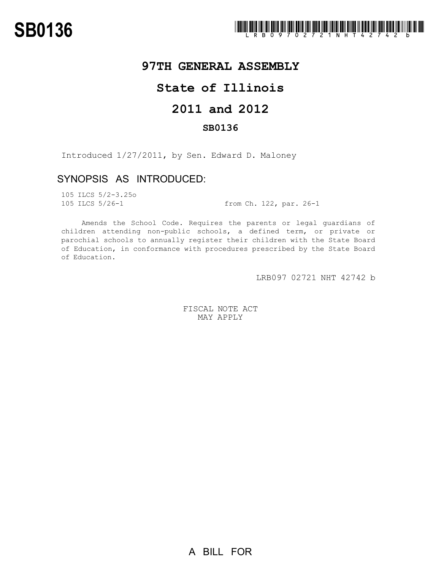## **97TH GENERAL ASSEMBLY**

## **State of Illinois**

# **2011 and 2012**

### **SB0136**

Introduced 1/27/2011, by Sen. Edward D. Maloney

### SYNOPSIS AS INTRODUCED:

105 ILCS 5/2-3.25o

105 ILCS 5/26-1 from Ch. 122, par. 26-1

Amends the School Code. Requires the parents or legal guardians of children attending non-public schools, a defined term, or private or parochial schools to annually register their children with the State Board of Education, in conformance with procedures prescribed by the State Board of Education.

LRB097 02721 NHT 42742 b

FISCAL NOTE ACT MAY APPLY

A BILL FOR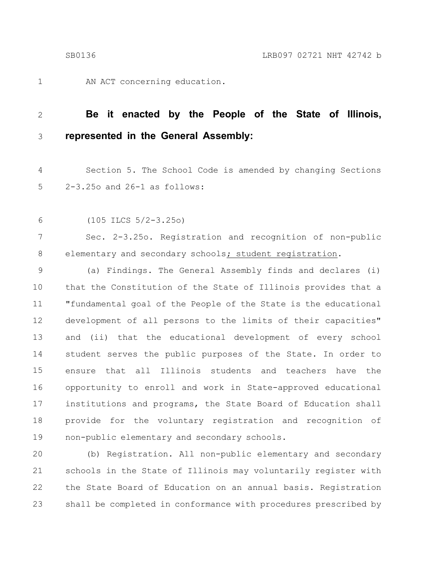1

AN ACT concerning education.

#### **Be it enacted by the People of the State of Illinois, represented in the General Assembly:** 2 3

Section 5. The School Code is amended by changing Sections 2-3.25o and 26-1 as follows: 4 5

(105 ILCS 5/2-3.25o) 6

Sec. 2-3.25o. Registration and recognition of non-public elementary and secondary schools; student registration. 7 8

(a) Findings. The General Assembly finds and declares (i) that the Constitution of the State of Illinois provides that a "fundamental goal of the People of the State is the educational development of all persons to the limits of their capacities" and (ii) that the educational development of every school student serves the public purposes of the State. In order to ensure that all Illinois students and teachers have the opportunity to enroll and work in State-approved educational institutions and programs, the State Board of Education shall provide for the voluntary registration and recognition of non-public elementary and secondary schools. 9 10 11 12 13 14 15 16 17 18 19

(b) Registration. All non-public elementary and secondary schools in the State of Illinois may voluntarily register with the State Board of Education on an annual basis. Registration shall be completed in conformance with procedures prescribed by 20 21 22 23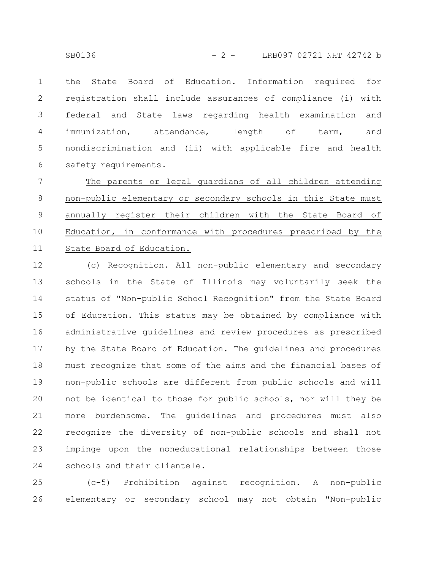the State Board of Education. Information required for registration shall include assurances of compliance (i) with federal and State laws regarding health examination and immunization, attendance, length of term, and nondiscrimination and (ii) with applicable fire and health safety requirements. 1 2 3 4 5 6

The parents or legal guardians of all children attending non-public elementary or secondary schools in this State must annually register their children with the State Board of Education, in conformance with procedures prescribed by the State Board of Education. 7 8 9 10 11

(c) Recognition. All non-public elementary and secondary schools in the State of Illinois may voluntarily seek the status of "Non-public School Recognition" from the State Board of Education. This status may be obtained by compliance with administrative guidelines and review procedures as prescribed by the State Board of Education. The guidelines and procedures must recognize that some of the aims and the financial bases of non-public schools are different from public schools and will not be identical to those for public schools, nor will they be more burdensome. The guidelines and procedures must also recognize the diversity of non-public schools and shall not impinge upon the noneducational relationships between those schools and their clientele. 12 13 14 15 16 17 18 19 20 21 22 23 24

(c-5) Prohibition against recognition. A non-public elementary or secondary school may not obtain "Non-public 25 26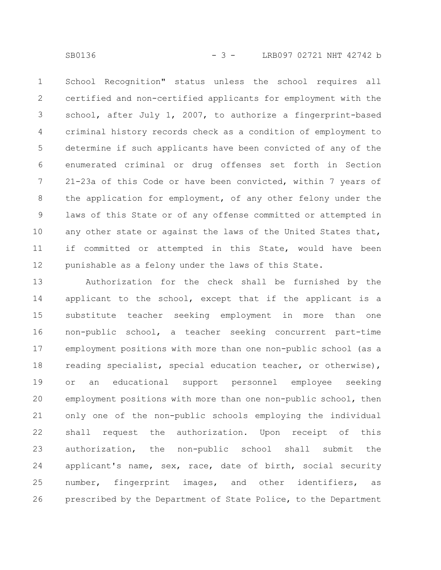School Recognition" status unless the school requires all certified and non-certified applicants for employment with the school, after July 1, 2007, to authorize a fingerprint-based criminal history records check as a condition of employment to determine if such applicants have been convicted of any of the enumerated criminal or drug offenses set forth in Section 21-23a of this Code or have been convicted, within 7 years of the application for employment, of any other felony under the laws of this State or of any offense committed or attempted in any other state or against the laws of the United States that, if committed or attempted in this State, would have been punishable as a felony under the laws of this State. 1 2 3 4 5 6 7 8 9 10 11 12

Authorization for the check shall be furnished by the applicant to the school, except that if the applicant is a substitute teacher seeking employment in more than one non-public school, a teacher seeking concurrent part-time employment positions with more than one non-public school (as a reading specialist, special education teacher, or otherwise), or an educational support personnel employee seeking employment positions with more than one non-public school, then only one of the non-public schools employing the individual shall request the authorization. Upon receipt of this authorization, the non-public school shall submit the applicant's name, sex, race, date of birth, social security number, fingerprint images, and other identifiers, as prescribed by the Department of State Police, to the Department 13 14 15 16 17 18 19 20 21 22 23 24 25 26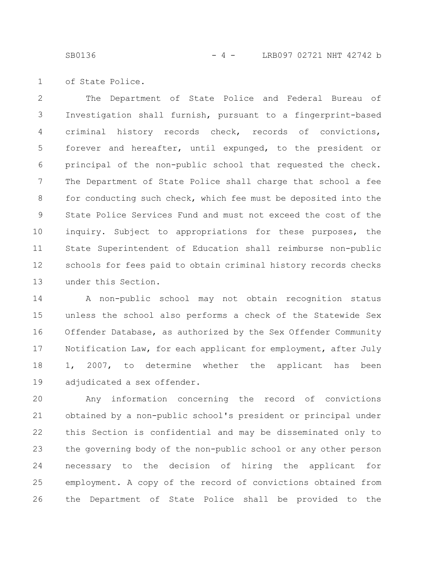SB0136 - 4 - LRB097 02721 NHT 42742 b

of State Police. 1

The Department of State Police and Federal Bureau of Investigation shall furnish, pursuant to a fingerprint-based criminal history records check, records of convictions, forever and hereafter, until expunged, to the president or principal of the non-public school that requested the check. The Department of State Police shall charge that school a fee for conducting such check, which fee must be deposited into the State Police Services Fund and must not exceed the cost of the inquiry. Subject to appropriations for these purposes, the State Superintendent of Education shall reimburse non-public schools for fees paid to obtain criminal history records checks under this Section. 2 3 4 5 6 7 8 9 10 11 12 13

A non-public school may not obtain recognition status unless the school also performs a check of the Statewide Sex Offender Database, as authorized by the Sex Offender Community Notification Law, for each applicant for employment, after July 1, 2007, to determine whether the applicant has been adjudicated a sex offender. 14 15 16 17 18 19

Any information concerning the record of convictions obtained by a non-public school's president or principal under this Section is confidential and may be disseminated only to the governing body of the non-public school or any other person necessary to the decision of hiring the applicant for employment. A copy of the record of convictions obtained from the Department of State Police shall be provided to the 20 21 22 23 24 25 26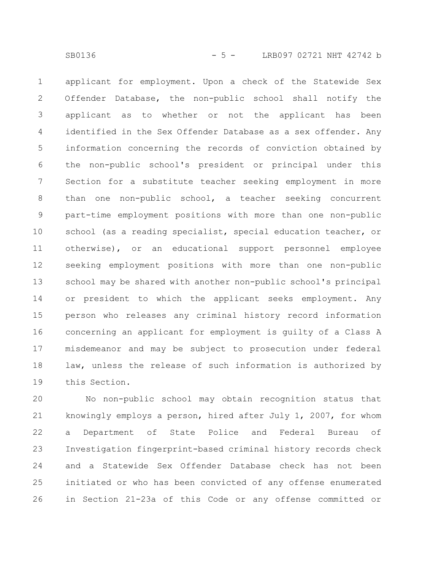applicant for employment. Upon a check of the Statewide Sex Offender Database, the non-public school shall notify the applicant as to whether or not the applicant has been identified in the Sex Offender Database as a sex offender. Any information concerning the records of conviction obtained by the non-public school's president or principal under this Section for a substitute teacher seeking employment in more than one non-public school, a teacher seeking concurrent part-time employment positions with more than one non-public school (as a reading specialist, special education teacher, or otherwise), or an educational support personnel employee seeking employment positions with more than one non-public school may be shared with another non-public school's principal or president to which the applicant seeks employment. Any person who releases any criminal history record information concerning an applicant for employment is guilty of a Class A misdemeanor and may be subject to prosecution under federal law, unless the release of such information is authorized by this Section. 1 2 3 4 5 6 7 8 9 10 11 12 13 14 15 16 17 18 19

No non-public school may obtain recognition status that knowingly employs a person, hired after July 1, 2007, for whom a Department of State Police and Federal Bureau of Investigation fingerprint-based criminal history records check and a Statewide Sex Offender Database check has not been initiated or who has been convicted of any offense enumerated in Section 21-23a of this Code or any offense committed or 20 21 22 23 24 25 26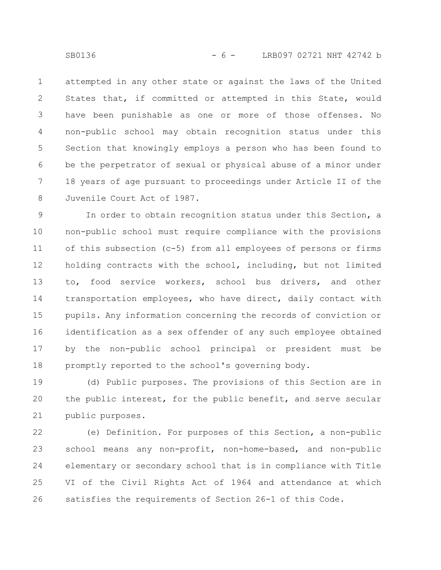attempted in any other state or against the laws of the United States that, if committed or attempted in this State, would have been punishable as one or more of those offenses. No non-public school may obtain recognition status under this Section that knowingly employs a person who has been found to be the perpetrator of sexual or physical abuse of a minor under 18 years of age pursuant to proceedings under Article II of the Juvenile Court Act of 1987. 1 2 3 4 5 6 7 8

In order to obtain recognition status under this Section, a non-public school must require compliance with the provisions of this subsection (c-5) from all employees of persons or firms holding contracts with the school, including, but not limited to, food service workers, school bus drivers, and other transportation employees, who have direct, daily contact with pupils. Any information concerning the records of conviction or identification as a sex offender of any such employee obtained by the non-public school principal or president must be promptly reported to the school's governing body. 9 10 11 12 13 14 15 16 17 18

(d) Public purposes. The provisions of this Section are in the public interest, for the public benefit, and serve secular public purposes. 19 20 21

(e) Definition. For purposes of this Section, a non-public school means any non-profit, non-home-based, and non-public elementary or secondary school that is in compliance with Title VI of the Civil Rights Act of 1964 and attendance at which satisfies the requirements of Section 26-1 of this Code. 22 23 24 25 26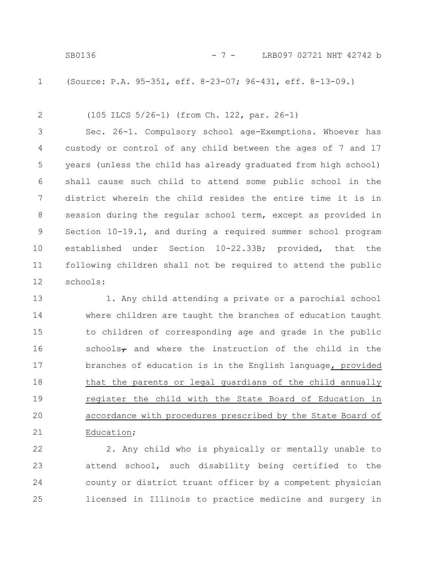(Source: P.A. 95-351, eff. 8-23-07; 96-431, eff. 8-13-09.) 1

(105 ILCS 5/26-1) (from Ch. 122, par. 26-1) 2

Sec. 26-1. Compulsory school age-Exemptions. Whoever has custody or control of any child between the ages of 7 and 17 years (unless the child has already graduated from high school) shall cause such child to attend some public school in the district wherein the child resides the entire time it is in session during the regular school term, except as provided in Section 10-19.1, and during a required summer school program established under Section 10-22.33B; provided, that the following children shall not be required to attend the public schools: 3 4 5 6 7 8 9 10 11 12

1. Any child attending a private or a parochial school where children are taught the branches of education taught to children of corresponding age and grade in the public schools $\tau$  and where the instruction of the child in the branches of education is in the English language, provided that the parents or legal guardians of the child annually register the child with the State Board of Education in accordance with procedures prescribed by the State Board of Education; 13 14 15 16 17 18 19 20 21

2. Any child who is physically or mentally unable to attend school, such disability being certified to the county or district truant officer by a competent physician licensed in Illinois to practice medicine and surgery in 22 23 24 25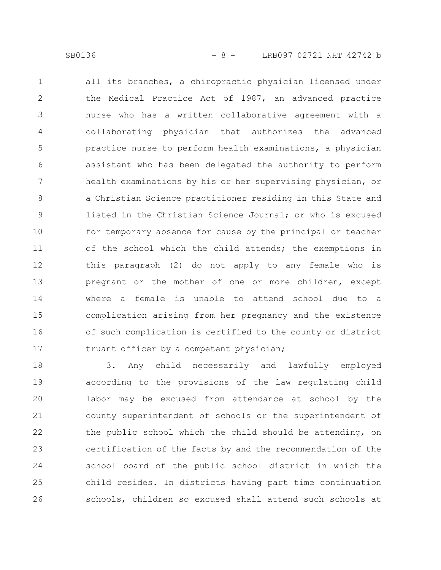all its branches, a chiropractic physician licensed under the Medical Practice Act of 1987, an advanced practice nurse who has a written collaborative agreement with a collaborating physician that authorizes the advanced practice nurse to perform health examinations, a physician assistant who has been delegated the authority to perform health examinations by his or her supervising physician, or a Christian Science practitioner residing in this State and listed in the Christian Science Journal; or who is excused for temporary absence for cause by the principal or teacher of the school which the child attends; the exemptions in this paragraph (2) do not apply to any female who is pregnant or the mother of one or more children, except where a female is unable to attend school due to a complication arising from her pregnancy and the existence of such complication is certified to the county or district truant officer by a competent physician; 1 2 3 4 5 6 7 8 9 10 11 12 13 14 15 16 17

3. Any child necessarily and lawfully employed according to the provisions of the law regulating child labor may be excused from attendance at school by the county superintendent of schools or the superintendent of the public school which the child should be attending, on certification of the facts by and the recommendation of the school board of the public school district in which the child resides. In districts having part time continuation schools, children so excused shall attend such schools at 18 19 20 21 22 23 24 25 26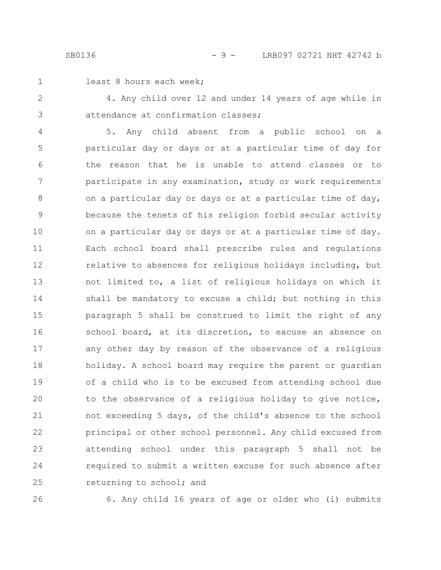1

### least 8 hours each week;

4. Any child over 12 and under 14 years of age while in attendance at confirmation classes; 2 3

5. Any child absent from a public school on a particular day or days or at a particular time of day for the reason that he is unable to attend classes or to participate in any examination, study or work requirements on a particular day or days or at a particular time of day, because the tenets of his religion forbid secular activity on a particular day or days or at a particular time of day. Each school board shall prescribe rules and regulations relative to absences for religious holidays including, but not limited to, a list of religious holidays on which it shall be mandatory to excuse a child; but nothing in this paragraph 5 shall be construed to limit the right of any school board, at its discretion, to excuse an absence on any other day by reason of the observance of a religious holiday. A school board may require the parent or guardian of a child who is to be excused from attending school due to the observance of a religious holiday to give notice, not exceeding 5 days, of the child's absence to the school principal or other school personnel. Any child excused from attending school under this paragraph 5 shall not be required to submit a written excuse for such absence after returning to school; and 4 5 6 7 8 9 10 11 12 13 14 15 16 17 18 19 20 21 22 23 24 25

26

6. Any child 16 years of age or older who (i) submits